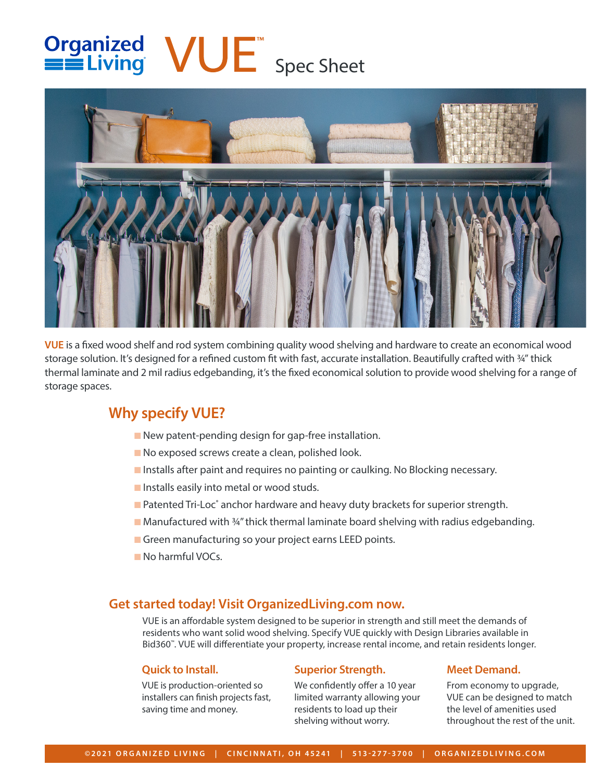# Organized<br>
Spec Sheet



**VUE** is a fixed wood shelf and rod system combining quality wood shelving and hardware to create an economical wood storage solution. It's designed for a refined custom fit with fast, accurate installation. Beautifully crafted with ¼" thick thermal laminate and 2 mil radius edgebanding, it's the fixed economical solution to provide wood shelving for a range of storage spaces.

# **Why specify VUE?**

- New patent-pending design for gap-free installation.
- No exposed screws create a clean, polished look.
- Installs after paint and requires no painting or caulking. No Blocking necessary.
- Installs easily into metal or wood studs.
- Patented Tri-Loc® anchor hardware and heavy duty brackets for superior strength.
- Manufactured with ¾" thick thermal laminate board shelving with radius edgebanding.
- Green manufacturing so your project earns LEED points.
- No harmful VOCs.

# **Get started today! Visit OrganizedLiving.com now.**

VUE is an affordable system designed to be superior in strength and still meet the demands of residents who want solid wood shelving. Specify VUE quickly with Design Libraries available in Bid360™. VUE will differentiate your property, increase rental income, and retain residents longer.

## **Quick to Install.**

VUE is production-oriented so installers can finish projects fast, saving time and money.

## **Superior Strength.**

We confidently offer a 10 year limited warranty allowing your residents to load up their shelving without worry.

# **Meet Demand.**

From economy to upgrade, VUE can be designed to match the level of amenities used throughout the rest of the unit.